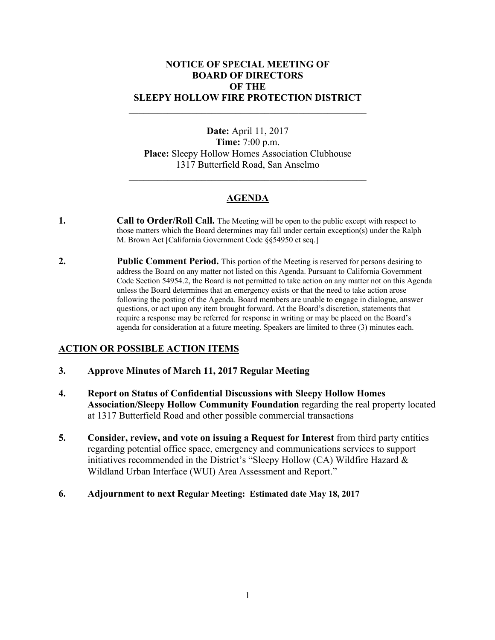### **NOTICE OF SPECIAL MEETING OF BOARD OF DIRECTORS OF THE SLEEPY HOLLOW FIRE PROTECTION DISTRICT**

**Date:** April 11, 2017 **Time:** 7:00 p.m. **Place:** Sleepy Hollow Homes Association Clubhouse 1317 Butterfield Road, San Anselmo

# **AGENDA**

- **1. 1. Call to Order/Roll Call.** The Meeting will be open to the public except with respect to those matters which the Board determines may fall under certain exception(s) under the Ralph M. Brown Act [California Government Code §§54950 et seq.]
- **2. Public Comment Period.** This portion of the Meeting is reserved for persons desiring to address the Board on any matter not listed on this Agenda. Pursuant to California Government Code Section 54954.2, the Board is not permitted to take action on any matter not on this Agenda unless the Board determines that an emergency exists or that the need to take action arose following the posting of the Agenda. Board members are unable to engage in dialogue, answer questions, or act upon any item brought forward. At the Board's discretion, statements that require a response may be referred for response in writing or may be placed on the Board's agenda for consideration at a future meeting. Speakers are limited to three (3) minutes each.

## **ACTION OR POSSIBLE ACTION ITEMS**

- **3. Approve Minutes of March 11, 2017 Regular Meeting**
- **4. Report on Status of Confidential Discussions with Sleepy Hollow Homes Association/Sleepy Hollow Community Foundation** regarding the real property located at 1317 Butterfield Road and other possible commercial transactions
- **5. Consider, review, and vote on issuing a Request for Interest** from third party entities regarding potential office space, emergency and communications services to support initiatives recommended in the District's "Sleepy Hollow (CA) Wildfire Hazard & Wildland Urban Interface (WUI) Area Assessment and Report."
- **6. Adjournment to next Regular Meeting: Estimated date May 18, 2017**